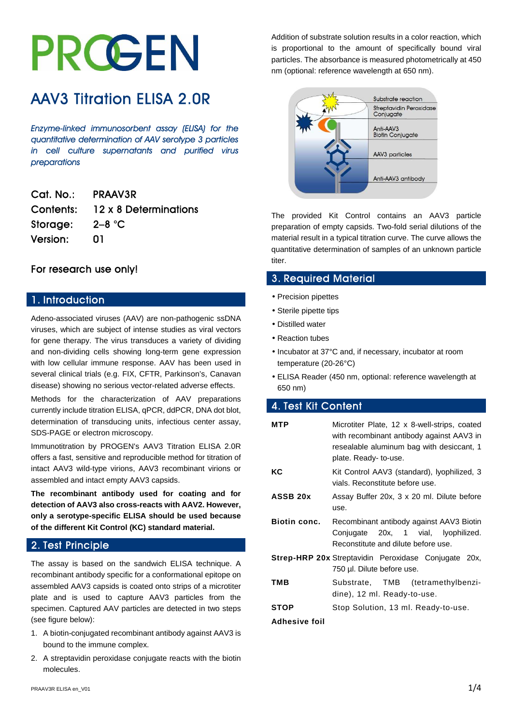# I I

# AAV3 Titration ELISA 2.0R

*Enzyme-linked immunosorbent assay (ELISA) for the quantitative determination of AAV serotype 3 particles in cell culture supernatants and purified virus preparations* 

| Cal. No.:       | <b>PRAAV3R</b>        |
|-----------------|-----------------------|
| Contents:       | 12 x 8 Determinations |
| Storage:        | $2 - 8$ °C            |
| <b>Version:</b> | N1                    |

# For research use only!

# 1. Introduction

Adeno-associated viruses (AAV) are non-pathogenic ssDNA viruses, which are subject of intense studies as viral vectors for gene therapy. The virus transduces a variety of dividing and non-dividing cells showing long-term gene expression with low cellular immune response. AAV has been used in several clinical trials (e.g. FIX, CFTR, Parkinson's, Canavan disease) showing no serious vector-related adverse effects.

Methods for the characterization of AAV preparations currently include titration ELISA, qPCR, ddPCR, DNA dot blot, determination of transducing units, infectious center assay, SDS-PAGE or electron microscopy.

Immunotitration by PROGEN's AAV3 Titration ELISA 2.0R offers a fast, sensitive and reproducible method for titration of intact AAV3 wild-type virions, AAV3 recombinant virions or assembled and intact empty AAV3 capsids.

**The recombinant antibody used for coating and for detection of AAV3 also cross-reacts with AAV2. However, only a serotype-specific ELISA should be used because of the different Kit Control (KC) standard material.** 

# 2. Test Principle

The assay is based on the sandwich ELISA technique. A recombinant antibody specific for a conformational epitope on assembled AAV3 capsids is coated onto strips of a microtiter plate and is used to capture AAV3 particles from the specimen. Captured AAV particles are detected in two steps (see figure below):

- 1. A biotin-conjugated recombinant antibody against AAV3 is bound to the immune complex.
- 2. A streptavidin peroxidase conjugate reacts with the biotin molecules.

Addition of substrate solution results in a color reaction, which is proportional to the amount of specifically bound viral particles. The absorbance is measured photometrically at 450 nm (optional: reference wavelength at 650 nm).



The provided Kit Control contains an AAV3 particle preparation of empty capsids. Two-fold serial dilutions of the material result in a typical titration curve. The curve allows the quantitative determination of samples of an unknown particle titer.

# 3. Required Material

- Precision pipettes
- Sterile pipette tips
- Distilled water
- Reaction tubes
- Incubator at 37°C and, if necessary, incubator at room temperature (20-26°C)
- ELISA Reader (450 nm, optional: reference wavelength at 650 nm)

# 4. Test Kit Content

| <b>MTP</b>           | Microtiter Plate, 12 x 8-well-strips, coated<br>with recombinant antibody against AAV3 in<br>resealable aluminum bag with desiccant, 1<br>plate. Ready-to-use. |
|----------------------|----------------------------------------------------------------------------------------------------------------------------------------------------------------|
| КC                   | Kit Control AAV3 (standard), lyophilized, 3<br>vials. Reconstitute before use.                                                                                 |
| ASSB 20x             | Assay Buffer 20x, 3 x 20 ml. Dilute before<br>use.                                                                                                             |
| <b>Biotin conc.</b>  | Recombinant antibody against AAV3 Biotin<br>Conjugate 20x, 1 vial, lyophilized.<br>Reconstitute and dilute before use.                                         |
|                      | <b>Strep-HRP 20x Streptavidin Peroxidase Conjugate 20x,</b><br>750 µl. Dilute before use.                                                                      |
| TMB                  | Substrate, TMB (tetramethylbenzi-<br>dine), 12 ml. Ready-to-use.                                                                                               |
| <b>STOP</b>          | Stop Solution, 13 ml. Ready-to-use.                                                                                                                            |
| <b>Adhesive foil</b> |                                                                                                                                                                |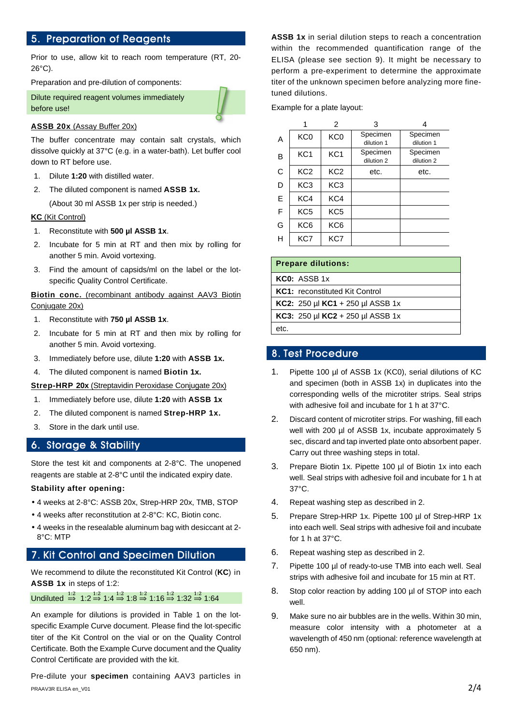# 5. Preparation of Reagents

Prior to use, allow kit to reach room temperature (RT, 20- 26°C).

Preparation and pre-dilution of components:

Dilute required reagent volumes immediately before use!



#### **ASSB 20x** (Assay Buffer 20x)

The buffer concentrate may contain salt crystals, which dissolve quickly at 37°C (e.g. in a water-bath). Let buffer cool down to RT before use.

- 1. Dilute **1:20** with distilled water.
- 2. The diluted component is named **ASSB 1x.**

(About 30 ml ASSB 1x per strip is needed.)

#### **KC** (Kit Control)

- 1. Reconstitute with **500 µl ASSB 1x**.
- 2. Incubate for 5 min at RT and then mix by rolling for another 5 min. Avoid vortexing.
- 3. Find the amount of capsids/ml on the label or the lotspecific Quality Control Certificate.

**Biotin conc.** (recombinant antibody against AAV3 Biotin Conjugate 20x)

- 1. Reconstitute with **750 µl ASSB 1x**.
- 2. Incubate for 5 min at RT and then mix by rolling for another 5 min. Avoid vortexing.
- 3. Immediately before use, dilute **1:20** with **ASSB 1x.**
- 4. The diluted component is named **Biotin 1x.**

**Strep-HRP 20x** (Streptavidin Peroxidase Conjugate 20x)

- 1. Immediately before use, dilute **1:20** with **ASSB 1x**
- 2. The diluted component is named **Strep-HRP 1x.**
- 3. Store in the dark until use.

#### 6. Storage & Stability

Store the test kit and components at 2-8°C. The unopened reagents are stable at 2-8°C until the indicated expiry date.

#### **Stability after opening:**

- 4 weeks at 2-8°C: ASSB 20x, Strep-HRP 20x, TMB, STOP
- 4 weeks after reconstitution at 2-8°C: KC, Biotin conc.
- 4 weeks in the resealable aluminum bag with desiccant at 2- 8°C: MTP

# 7. Kit Control and Specimen Dilution

We recommend to dilute the reconstituted Kit Control (**KC**) in **ASSB 1x** in steps of 1:2:

Undiluted  $\stackrel{1:2}{\Rightarrow}$  1:2  $\stackrel{1:2}{\Rightarrow}$  1:4  $\stackrel{1:2}{\Rightarrow}$  1:8  $\stackrel{1:2}{\Rightarrow}$  1:16  $\stackrel{1:2}{\Rightarrow}$  1:32  $\stackrel{1:2}{\Rightarrow}$  1:64

An example for dilutions is provided in Table 1 on the lotspecific Example Curve document. Please find the lot-specific titer of the Kit Control on the vial or on the Quality Control Certificate. Both the Example Curve document and the Quality Control Certificate are provided with the kit.

PRAAV3R ELISA en\_V01  $2/4$ Pre-dilute your **specimen** containing AAV3 particles in

**ASSB 1x** in serial dilution steps to reach a concentration within the recommended quantification range of the ELISA (please see section 9). It might be necessary to perform a pre-experiment to determine the approximate titer of the unknown specimen before analyzing more finetuned dilutions.

Example for a plate layout:

|   |                 | 2               | 3                                    |                                      |
|---|-----------------|-----------------|--------------------------------------|--------------------------------------|
| A | KC <sub>0</sub> | KC <sub>0</sub> | Specimen                             | Specimen                             |
| B | KC <sub>1</sub> | KC <sub>1</sub> | dilution 1<br>Specimen<br>dilution 2 | dilution 1<br>Specimen<br>dilution 2 |
| C | KC <sub>2</sub> | KC <sub>2</sub> | etc.                                 | etc.                                 |
| D | KC <sub>3</sub> | KC <sub>3</sub> |                                      |                                      |
| E | KC4             | KC4             |                                      |                                      |
| F | KC <sub>5</sub> | KC <sub>5</sub> |                                      |                                      |
| G | KC <sub>6</sub> | KC <sub>6</sub> |                                      |                                      |
| н | KC7             | KC7             |                                      |                                      |

# **Prepare dilutions:**

**KC0:** ASSB 1x **KC1:** reconstituted Kit Control **KC2:** 250 µl **KC1** + 250 µl ASSB 1x

**KC3:** 250 µl **KC2** + 250 µl ASSB 1x

etc.

# 8. Test Procedure

- 1. Pipette 100 µl of ASSB 1x (KC0), serial dilutions of KC and specimen (both in ASSB 1x) in duplicates into the corresponding wells of the microtiter strips. Seal strips with adhesive foil and incubate for 1 h at 37°C.
- 2. Discard content of microtiter strips. For washing, fill each well with 200 µl of ASSB 1x, incubate approximately 5 sec, discard and tap inverted plate onto absorbent paper. Carry out three washing steps in total.
- 3. Prepare Biotin 1x. Pipette 100 µl of Biotin 1x into each well. Seal strips with adhesive foil and incubate for 1 h at 37°C.
- 4. Repeat washing step as described in 2.
- 5. Prepare Strep-HRP 1x. Pipette 100 µl of Strep-HRP 1x into each well. Seal strips with adhesive foil and incubate for 1 h at 37°C.
- 6. Repeat washing step as described in 2.
- 7. Pipette 100 µl of ready-to-use TMB into each well. Seal strips with adhesive foil and incubate for 15 min at RT.
- 8. Stop color reaction by adding 100 µl of STOP into each well.
- 9. Make sure no air bubbles are in the wells. Within 30 min, measure color intensity with a photometer at a wavelength of 450 nm (optional: reference wavelength at 650 nm).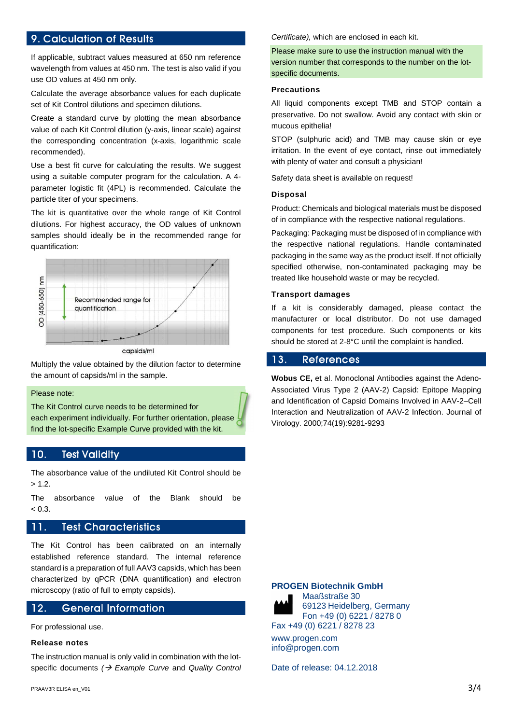# 9. Calculation of Results

If applicable, subtract values measured at 650 nm reference wavelength from values at 450 nm. The test is also valid if you use OD values at 450 nm only.

Calculate the average absorbance values for each duplicate set of Kit Control dilutions and specimen dilutions.

Create a standard curve by plotting the mean absorbance value of each Kit Control dilution (y-axis, linear scale) against the corresponding concentration (x-axis, logarithmic scale recommended).

Use a best fit curve for calculating the results. We suggest using a suitable computer program for the calculation. A 4 parameter logistic fit (4PL) is recommended. Calculate the particle titer of your specimens.

The kit is quantitative over the whole range of Kit Control dilutions. For highest accuracy, the OD values of unknown samples should ideally be in the recommended range for quantification:



Multiply the value obtained by the dilution factor to determine the amount of capsids/ml in the sample.

#### Please note:

The Kit Control curve needs to be determined for each experiment individually. For further orientation, please find the lot-specific Example Curve provided with the kit.

#### 10. Test Validity

The absorbance value of the undiluted Kit Control should be  $> 1.2.$ 

The absorbance value of the Blank should be  $< 0.3.$ 

# 11. Test Characteristics

The Kit Control has been calibrated on an internally established reference standard. The internal reference standard is a preparation of full AAV3 capsids, which has been characterized by qPCR (DNA quantification) and electron microscopy (ratio of full to empty capsids).

# 12. General Information

For professional use.

#### **Release notes**

The instruction manual is only valid in combination with the lotspecific documents  $\rightarrow$  Example Curve and Quality Control Certificate), which are enclosed in each kit.

Please make sure to use the instruction manual with the version number that corresponds to the number on the lotspecific documents.

#### **Precautions**

All liquid components except TMB and STOP contain a preservative. Do not swallow. Avoid any contact with skin or mucous epithelia!

STOP (sulphuric acid) and TMB may cause skin or eye irritation. In the event of eye contact, rinse out immediately with plenty of water and consult a physician!

Safety data sheet is available on request!

#### **Disposal**

Product: Chemicals and biological materials must be disposed of in compliance with the respective national regulations.

Packaging: Packaging must be disposed of in compliance with the respective national regulations. Handle contaminated packaging in the same way as the product itself. If not officially specified otherwise, non-contaminated packaging may be treated like household waste or may be recycled.

#### **Transport damages**

If a kit is considerably damaged, please contact the manufacturer or local distributor. Do not use damaged components for test procedure. Such components or kits should be stored at 2-8°C until the complaint is handled.

#### 13. References

**Wobus CE,** et al. Monoclonal Antibodies against the Adeno-Associated Virus Type 2 (AAV-2) Capsid: Epitope Mapping and Identification of Capsid Domains Involved in AAV-2–Cell Interaction and Neutralization of AAV-2 Infection. Journal of Virology. 2000;74(19):9281-9293

#### **PROGEN Biotechnik GmbH**



Maaßstraße 30 69123 Heidelberg, Germany Fon +49 (0) 6221 / 8278 0 Fax +49 (0) 6221 / 8278 23

www.progen.com info@progen.com

Date of release: 04.12.2018